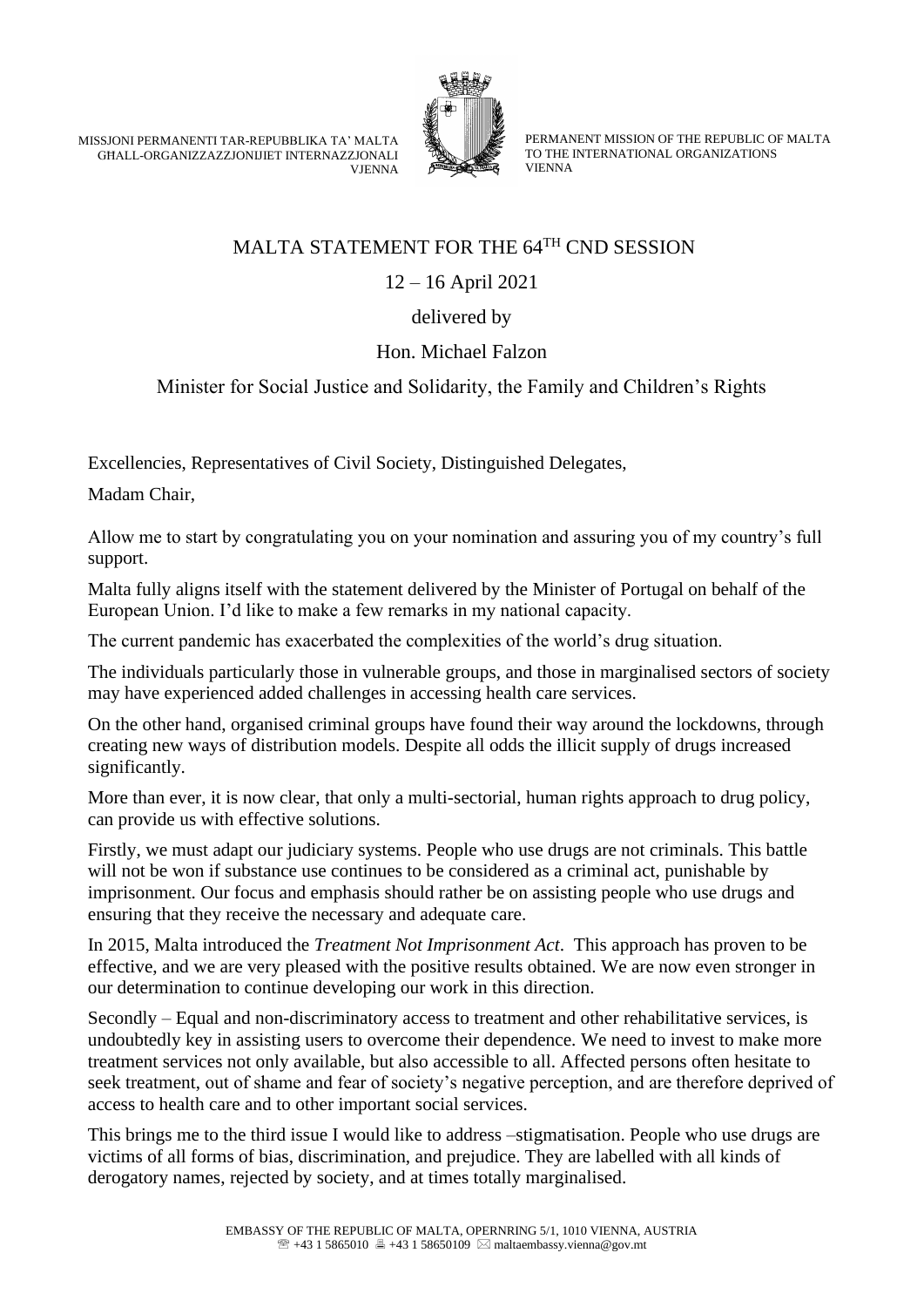MISSJONI PERMANENTI TAR-REPUBBLIKA TA' MALTA GĦALL-ORGANIZZAZZJONIJIET INTERNAZZJONALI **VIENNA** 



PERMANENT MISSION OF THE REPUBLIC OF MALTA TO THE INTERNATIONAL ORGANIZATIONS VIENNA

## MALTA STATEMENT FOR THE 64TH CND SESSION

12 – 16 April 2021

## delivered by

## Hon. Michael Falzon

## Minister for Social Justice and Solidarity, the Family and Children's Rights

Excellencies, Representatives of Civil Society, Distinguished Delegates,

Madam Chair,

Allow me to start by congratulating you on your nomination and assuring you of my country's full support.

Malta fully aligns itself with the statement delivered by the Minister of Portugal on behalf of the European Union. I'd like to make a few remarks in my national capacity.

The current pandemic has exacerbated the complexities of the world's drug situation.

The individuals particularly those in vulnerable groups, and those in marginalised sectors of society may have experienced added challenges in accessing health care services.

On the other hand, organised criminal groups have found their way around the lockdowns, through creating new ways of distribution models. Despite all odds the illicit supply of drugs increased significantly.

More than ever, it is now clear, that only a multi-sectorial, human rights approach to drug policy, can provide us with effective solutions.

Firstly, we must adapt our judiciary systems. People who use drugs are not criminals. This battle will not be won if substance use continues to be considered as a criminal act, punishable by imprisonment. Our focus and emphasis should rather be on assisting people who use drugs and ensuring that they receive the necessary and adequate care.

In 2015, Malta introduced the *Treatment Not Imprisonment Act*. This approach has proven to be effective, and we are very pleased with the positive results obtained. We are now even stronger in our determination to continue developing our work in this direction.

Secondly – Equal and non-discriminatory access to treatment and other rehabilitative services, is undoubtedly key in assisting users to overcome their dependence. We need to invest to make more treatment services not only available, but also accessible to all. Affected persons often hesitate to seek treatment, out of shame and fear of society's negative perception, and are therefore deprived of access to health care and to other important social services.

This brings me to the third issue I would like to address –stigmatisation. People who use drugs are victims of all forms of bias, discrimination, and prejudice. They are labelled with all kinds of derogatory names, rejected by society, and at times totally marginalised.